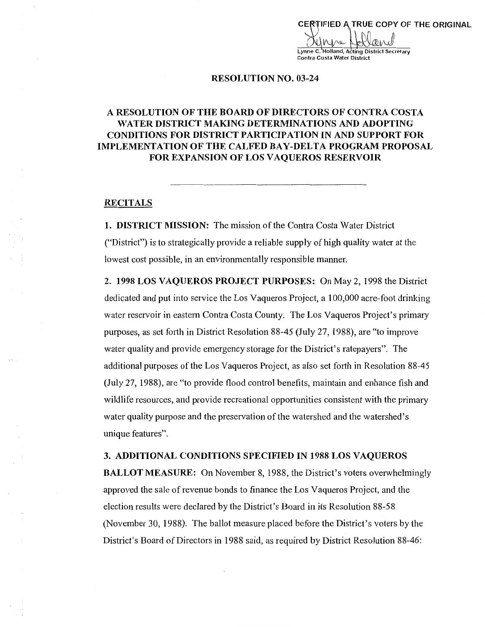CERTIFIED A TRUE COPY OF THE ORIGINAL VI I V Lynne C. Holland, Acting District Secretary Contra Costa Water District

#### RESOLUTION NO. 03-24

## **A RESOLUTION OF THE BOARD OF DIRECTORS OF CONTRA COSTA WATER DISTRICT MAKING DETERMINATIONS AND ADOPTING CONDITIONS FOR DISTRICT PARTICIPATION IN AND SUPPORT FOR IMPLEMENTATION OF THE CALFED BAY-DELTA PROGRAM PROPOSAL FOR EXPANSION OF LOS VAQUEROS RESERVOIR**

## **RECITALS**

**1. DISTRICT MISSION:** The mission of the Contra Costa Water District ("District") is to strategically provide a reliable supply of high quality water at the lowest cost possible, in an environmentally responsible manner.

2. **1998 LOS VAQUEROS PROJECT PURPOSES:** On May 2, 1998 the District dedicated and put into service the Los Vaqueros Project, a 100,000 acre-foot drinking water reservoir in eastern Contra Costa County. The Los Vaqueros Project's primary purposes, as set forth in District Resolution 88-45 (July 27, 1988), are "to improve water quality and provide emergency storage for the District's ratepayers". The additional purposes of the Los Vaqueros Project, as also set forth in Resolution 88-45 (July 27, 1988), are "to provide flood control benefits, maintain and enhance fish and wildlife resources, and provide recreational opportunities consistent with the primary water quality purpose and the preservation of the watershed and the watershed's unique features".

#### **3. ADDITIONAL CONDITIONS SPECIFIED IN 1988 LOS VA QUEROS**

**BALLOT MEASURE:** On November 8, 1988, the District's voters overwhelmingly approved the sale of revenue bonds to finance the Los Vaqueros Project, and the election results were declared by the District's Board in its Resolution 88-58 (November 30, 1988). The ballot measure placed before the District's voters by the District's Board of Directors in 1988 said, as required by District Resolution 88-46: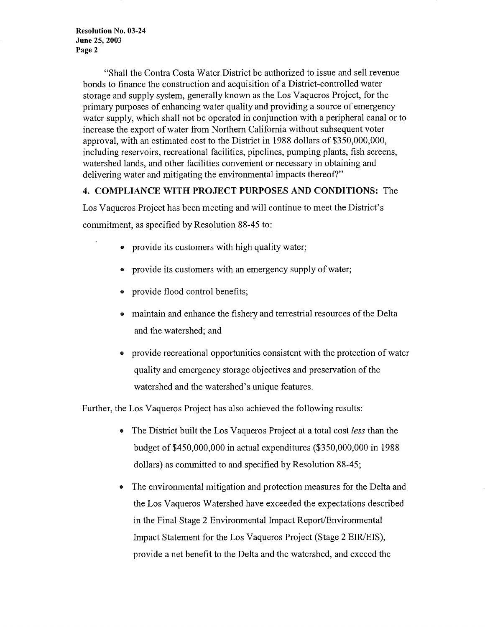"Shall the Contra Costa Water District be authorized to issue and sell revenue bonds to finance the construction and acquisition of a District-controlled water storage and supply system, generally known as the Los Vaqueros Project, for the primary purposes of enhancing water quality and providing a source of emergency water supply, which shall not be operated in conjunction with a peripheral canal or to increase the export of water from Northern California without subsequent voter approval, with an estimated cost to the District in 1988 dollars of \$350,000,000, including reservoirs, recreational facilities, pipelines, pumping plants, fish screens, watershed lands, and other facilities convenient or necessary in obtaining and delivering water and mitigating the environmental impacts thereof?"

## **4. COMPLIANCE WITH PROJECT PURPOSES AND CONDITIONS:** The

Los Vaqueros Project has been meeting and will continue to meet the District's commitment, as specified by Resolution 88-45 to:

- provide its customers with high quality water;
- provide its customers with an emergency supply of water;
- provide flood control benefits;
- maintain and enhance the fishery and terrestrial resources of the Delta and the watershed; and
- provide recreational opportunities consistent with the protection of water quality and emergency storage objectives and preservation of the watershed and the watershed's unique features.

Further, the Los Vaqueros Project has also achieved the following results:

- The District built the Los Vaqueros Project at a total cost *less* than the budget of \$450,000,000 in actual expenditures (\$350,000,000 in 1988 dollars) as committed to and specified by Resolution 88-45;
- The environmental mitigation and protection measures for the Delta and the Los Vaqueros Watershed have exceeded the expectations described in the Final Stage 2 Environmental Impact Report/Environmental Impact Statement for the Los Vaqueros Project (Stage 2 EIR/EIS), provide a net benefit to the Delta and the watershed, and exceed the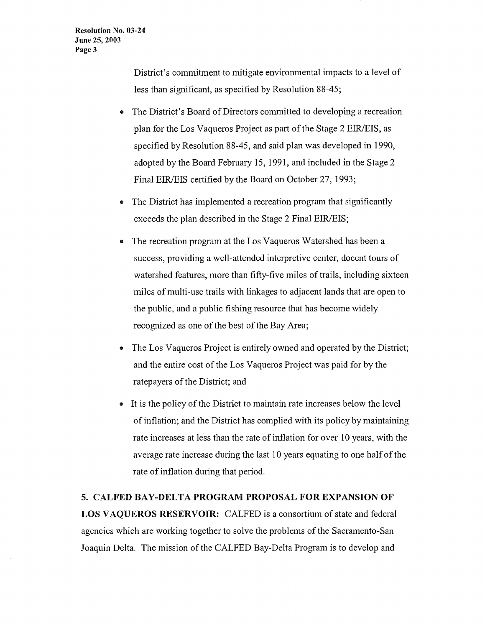District's commitment to mitigate environmental impacts to a level of less than significant, as specified by Resolution 88-45;

- The District's Board of Directors committed to developing a recreation plan for the Los Vaqueros Project as part of the Stage 2 EIR/EIS, as specified by Resolution 88-45, and said plan was developed in 1990, adopted by the Board February 15, 1991, and included in the Stage 2 Final EIR/EIS certified by the Board on October 27, 1993;
- The District has implemented a recreation program that significantly exceeds the plan described in the Stage 2 Final EIR/EIS;
- The recreation program at the Los Vaqueros Watershed has been a success, providing a well-attended interpretive center, docent tours of watershed features, more than fifty-five miles of trails, including sixteen miles of multi-use trails with linkages to adjacent lands that are open to the public, and a public fishing resource that has become widely recognized as one of the best of the Bay Area;
- The Los Vaqueros Project is entirely owned and operated by the District; and the entire cost of the Los Vaqueros Project was paid for by the ratepayers of the District; and
- It is the policy of the District to maintain rate increases below the level of inflation; and the District has complied with its policy by maintaining rate increases at less than the rate of inflation for over 10 years, with the average rate increase during the last 10 years equating to one half of the rate of inflation during that period.

## **5. CALFED BAY-DELTA PROGRAM PROPOSAL FOR EXPANSION OF**

LOS VAQUEROS RESERVOIR: CALFED is a consortium of state and federal agencies which are working together to solve the problems of the Sacramento-San Joaquin Delta. The mission of the CALFED Bay-Delta Program is to develop and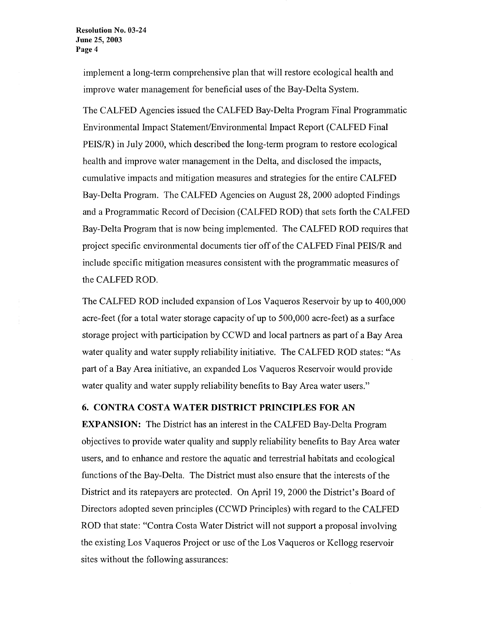implement a long-term comprehensive plan that will restore ecological health and improve water management for beneficial uses of the Bay-Delta System.

The CALFED Agencies issued the CALFED Bay-Delta Program Final Programmatic Environmental Impact Statement/Environmental Impact Report (CALFED Final PEIS/R) in July 2000, which described the long-term program to restore ecological health and improve water management in the Delta, and disclosed the impacts, cumulative impacts and mitigation measures and strategies for the entire CALFED Bay-Delta Program. The CALFED Agencies on August 28, 2000 adopted Findings and a Programmatic Record of Decision (CALFED ROD) that sets forth the CALFED Bay-Delta Program that is now being implemented. The CALFED ROD requires that project specific environmental documents tier off of the CALFED Final PEIS/R and include specific mitigation measures consistent with the programmatic measures of the CALFED ROD.

The CALFED ROD included expansion of Los Vaqueros Reservoir by up to 400,000 acre-feet (for a total water storage capacity of up to 500,000 acre-feet) as a surface storage project with participation by CCWD and local partners as part of a Bay Area water quality and water supply reliability initiative. The CALFED ROD states: "As part of a Bay Area initiative, an expanded Los Vaqueros Reservoir would provide water quality and water supply reliability benefits to Bay Area water users."

### **6. CONTRA COSTA WATER DISTRICT PRINCIPLES FOR AN**

**EXPANSION:** The District has an interest in the CALFED Bay-Delta Program objectives to provide water quality and supply reliability benefits to Bay Area water users, and to enhance and restore the aquatic and terrestrial habitats and ecological functions of the Bay-Delta. The District must also ensure that the interests of the District and its ratepayers are protected. On April 19, 2000 the District's Board of Directors adopted seven principles (CCWD Principles) with regard to the CALFED ROD that state: "Contra Costa Water District will not support a proposal involving the existing Los Vaqueros Project or use of the Los Vaqueros or Kellogg reservoir sites without the following assurances: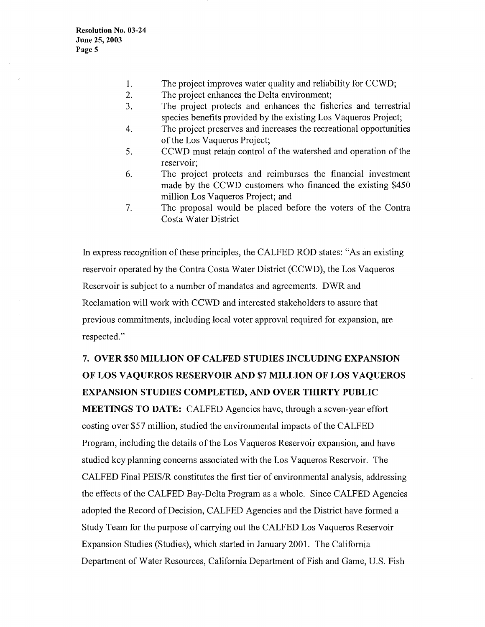- 1. The project improves water quality and reliability for CCWD;
- 2. The project enhances the Delta environment;
- 3. The project protects and enhances the fisheries and terrestrial species benefits provided by the existing Los Vaqueros Project;
- 4. The project preserves and increases the recreational opportunities of the Los Vaqueros Project;
- 5. CCWD must retain control of the watershed and operation of the reservoir:
- 6. The project protects and reimburses the financial investment made by the CCWD customers who financed the existing \$450 million Los Vaqueros Project; and
- 7. The proposal would be placed before the voters of the Contra Costa Water District

In express recognition of these principles, the CALFED ROD states: "As an existing reservoir operated by the Contra Costa Water District (CCWD), the Los Vaqueros Reservoir is subject to a number of mandates and agreements. DWR and Reclamation will work with CCWD and interested stakeholders to assure that previous commitments, including local voter approval required for expansion, are respected."

# 7. **OVER \$50 MILLION OF CALFED STUDIES INCLUDING EXPANSION OF LOS VAQUEROS RESERVOIR AND \$7 MILLION OF LOS VAQUEROS EXPANSION STUDIES COMPLETED, AND OVER THIRTY PUBLIC**

**MEETINGS TO DATE:** CALFED Agencies have, through a seven-year effort costing over \$57 million, studied the environmental impacts of the CALFED Program, including the details of the Los Vaqueros Reservoir expansion, and have studied key planning concerns associated with the Los Vaqueros Reservoir. The CALFED Final PEIS/R constitutes the first tier of environmental analysis, addressing the effects of the CALFED Bay-Delta Program as a whole. Since CALFED Agencies adopted the Record of Decision, CALFED Agencies and the District have formed a Study Team for the purpose of carrying out the CALFED Los Vaqueros Reservoir Expansion Studies (Studies), which started in January 2001. The California Department of Water Resources, California Department of Fish and Game, U.S. Fish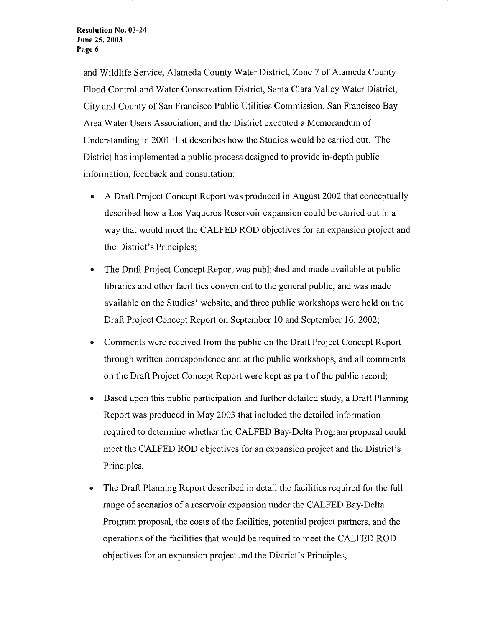and Wildlife Service, Alameda County Water District, Zone 7 of Alameda County Flood Control and Water Conservation District, Santa Clara Valley Water District, City and County of San Francisco Public Utilities Commission, San Francisco Bay Area Water Users Association, and the District executed a Memorandum of Understanding in 2001 that describes how the Studies would be carried out. The District has implemented a public process designed to provide in-depth public information, feedback and consultation:

- A Draft Project Concept Report was produced in August 2002 that conceptually described how a Los Vaqueros Reservoir expansion could be carried out in a way that would meet the CALFED ROD objectives for an expansion project and the District's Principles;
- The Draft Project Concept Report was published and made available at public libraries and other facilities convenient to the general public, and was made available on the Studies' website, and three public workshops were held on the Draft Project Concept Report on September 10 and September 16, 2002;
- Comments were received from the public on the Draft Project Concept Report through written correspondence and at the public workshops, and all comments on the Draft Project Concept Report were kept as part of the public record;
- Based upon this public participation and further detailed study, a Draft Planning Report was produced in May 2003 that included the detailed information required to determine whether the CALFED Bay-Delta Program proposal could meet the CALFED ROD objectives for an expansion project and the District's Principles,
- The Draft Planning Report described in detail the facilities required for the full range of scenarios of a reservoir expansion under the CALFED Bay-Delta Program proposal, the costs of the facilities, potential project partners, and the operations of the facilities that would be required to meet the CALFED ROD objectives for an expansion project and the District's Principles,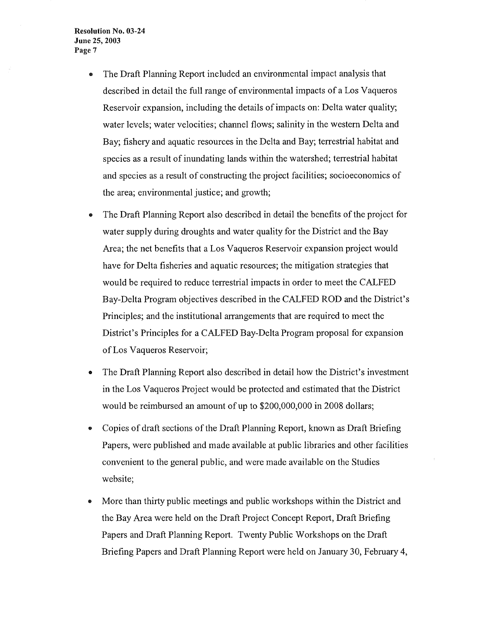**Resolution No. 03-24 June 25, 2003 Page** 7

- The Draft Planning Report included an environmental impact analysis that described in detail the full range of environmental impacts of a Los Vaqueros Reservoir expansion, including the details of impacts on: Delta water quality; water levels; water velocities; channel flows; salinity in the western Delta and Bay; fishery and aquatic resources in the Delta and Bay; terrestrial habitat and species as a result of inundating lands within the watershed; terrestrial habitat and species as a result of constructing the project facilities; socioeconomics of the area; environmental justice; and growth;
- The Draft Planning Report also described in detail the benefits of the project for water supply during droughts and water quality for the District and the Bay Area; the net benefits that a Los Vaqueros Reservoir expansion project would have for Delta fisheries and aquatic resources; the mitigation strategies that would be required to reduce terrestrial impacts in order to meet the CALFED Bay-Delta Program objectives described in the CALFED ROD and the District's Principles; and the institutional arrangements that are required to meet the District's Principles for a CALFED Bay-Delta Program proposal for expansion of Los Vaqueros Reservoir;
- The Draft Planning Report also described in detail how the District's investment in the Los Vaqueros Project would be protected and estimated that the District would be reimbursed an amount of up to \$200,000,000 in 2008 dollars;
- Copies of draft sections of the Draft Planning Report, known as Draft Briefing Papers, were published and made available at public libraries and other facilities convenient to the general public, and were made available on the Studies website;
- More than thirty public meetings and public workshops within the District and the Bay Area were held on the Draft Project Concept Report, Draft Briefing Papers and Draft Planning Report. Twenty Public Workshops on the Draft Briefing Papers and Draft Planning Report were held on January 30, February 4,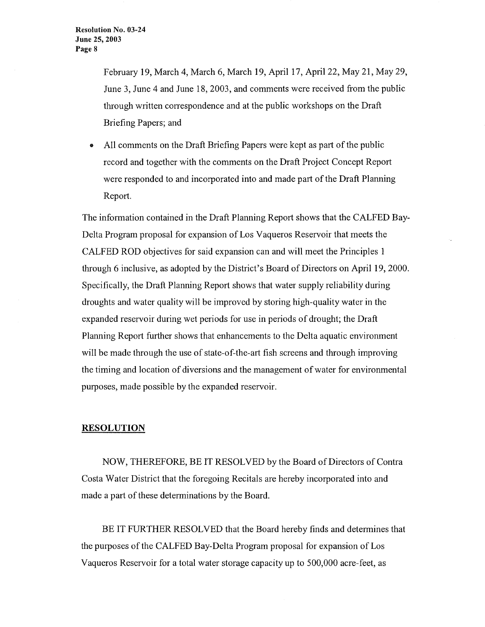February 19, March 4, March 6, March 19, April 17, April 22, May 21, May 29, June 3, June 4 and June 18, 2003, and comments were received from the public through written correspondence and at the public workshops on the Draft Briefing Papers; and

• All comments on the Draft Briefing Papers were kept as part of the public record and together with the comments on the Draft Project Concept Report were responded to and incorporated into and made part of the Draft Planning Report.

The information contained in the Draft Planning Report shows that the CALFED Bay-Delta Program proposal for expansion of Los Vaqueros Reservoir that meets the CALFED ROD objectives for said expansion can and will meet the Principles 1 through 6 inclusive, as adopted by the District's Board of Directors on April 19, 2000. Specifically, the Draft Planning Report shows that water supply reliability during droughts and water quality will be improved by storing high-quality water in the expanded reservoir during wet periods for use in periods of drought; the Draft Planning Report further shows that enhancements to the Delta aquatic environment will be made through the use of state-of-the-art fish screens and through improving the timing and location of diversions and the management of water for environmental purposes, made possible by the expanded reservoir.

#### **RESOLUTION**

NOW, THEREFORE, BE IT RESOLVED by the Board of Directors of Contra Costa Water District that the foregoing Recitals are hereby incorporated into and made a part of these determinations by the Board.

BE IT FURTHER RESOLVED that the Board hereby finds and determines that the purposes of the CALFED Bay-Delta Program proposal for expansion of Los Vaqueros Reservoir for a total water storage capacity up to 500,000 acre-feet, as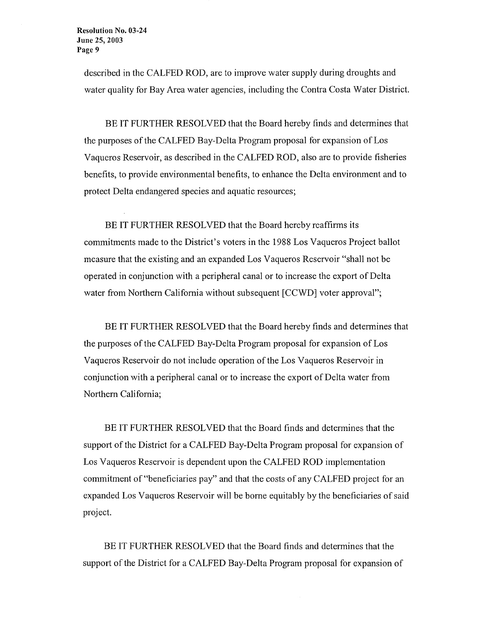described in the CALFED ROD, are to improve water supply during droughts and water quality for Bay Area water agencies, including the Contra Costa Water District.

BE IT FURTHER RESOLVED that the Board hereby finds and determines that the purposes of the CALFED Bay-Delta Program proposal for expansion of Los Vaqueros Reservoir, as described in the CALFED ROD, also are to provide fisheries benefits, to provide environmental benefits, to enhance the Delta environment and to protect Delta endangered species and aquatic resources;

BE IT FURTHER RESOLVED that the Board hereby reaffirms its commitments made to the District's voters in the 1988 Los Vaqueros Project ballot measure that the existing and an expanded Los Vaqueros Reservoir "shall not be operated in conjunction with a peripheral canal or to increase the export of Delta water from Northern California without subsequent [CCWD] voter approval";

BE IT FURTHER RESOLVED that the Board hereby finds and determines that the purposes of the CALFED Bay-Delta Program proposal for expansion of Los Vaqueros Reservoir do not include operation of the Los Vaqueros Reservoir in conjunction with a peripheral canal or to increase the export of Delta water from Northern California;

BE IT FURTHER RESOLVED that the Board finds and determines that the support of the District for a CALFED Bay-Delta Program proposal for expansion of Los Vaqueros Reservoir is dependent upon the CALFED ROD implementation commitment of"beneficiaries pay" and that the costs of any CALFED project for an expanded Los Vaqueros Reservoir will be borne equitably by the beneficiaries of said project.

BE IT FURTHER RESOLVED that the Board finds and determines that the support of the District for a CALFED Bay-Delta Program proposal for expansion of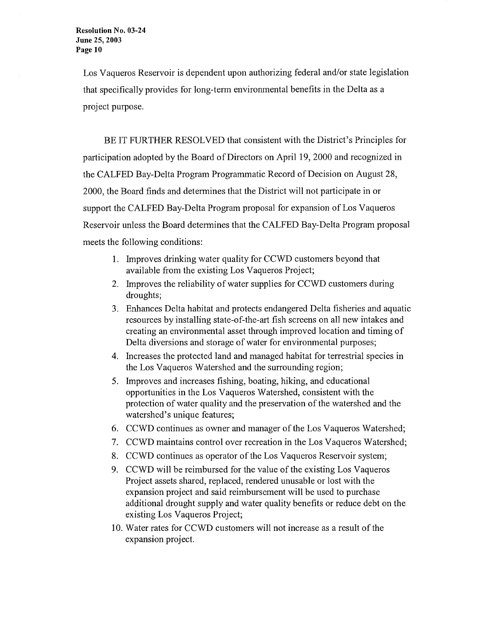Los Vaqueros Reservoir is dependent upon authorizing federal and/or state legislation that specifically provides for long-term environmental benefits in the Delta as a project purpose.

BE IT FURTHER RESOLVED that consistent with the District's Principles for participation adopted by the Board of Directors on April 19, 2000 and recognized in the CALFED Bay-Delta Program Programmatic Record of Decision on August 28, 2000, the Board finds and determines that the District will not participate in or support the CALFED Bay-Delta Program proposal for expansion of Los Vaqueros Reservoir unless the Board determines that the CALFED Bay-Delta Program proposal meets the following conditions:

- **1.** Improves drinking water quality for CCWD customers beyond that available from the existing Los Vaqueros Project;
- 2. Improves the reliability of water supplies for CCWD customers during droughts;
- 3. Enhances Delta habitat and protects endangered Delta fisheries and aquatic resources by installing state-of-the-art fish screens on all new intakes and creating an environmental asset through improved location and timing of Delta diversions and storage of water for environmental purposes;
- 4. Increases the protected land and managed habitat for terrestrial species in the Los Vaqueros Watershed and the surrounding region;
- 5. Improves and increases fishing, boating, hiking, and educational opportunities in the Los Vaqueros Watershed, consistent with the protection of water quality and the preservation of the watershed and the watershed's unique features;
- 6. CCWD continues as owner and manager of the Los Vaqueros Watershed;
- 7. CCWD maintains control over recreation in the Los Vaqueros Watershed;
- 8. CCWD continues as operator of the Los Vaqueros Reservoir system;
- 9. CCWD will be reimbursed for the value of the existing Los Vaqueros Project assets shared, replaced, rendered unusable or lost with the expansion project and said reimbursement will be used to purchase additional drought supply and water quality benefits or reduce debt on the existing Los Vaqueros Project;
- 10. Water rates for CCWD customers will not increase as a result of the expansion project.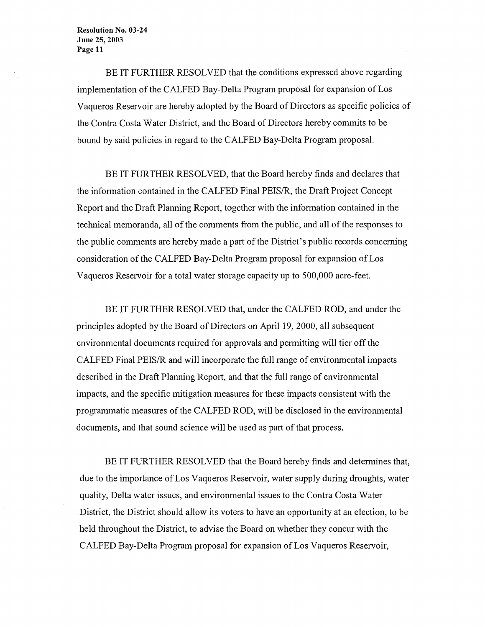**Resolution No. 03-24 June 25, 2003 Page 11** 

BE IT FURTHER RESOLVED that the conditions expressed above regarding implementation of the CALFED Bay-Delta Program proposal for expansion of Los Vaqueros Reservoir are hereby adopted by the Board of Directors as specific policies of the Contra Costa Water District, and the Board of Directors hereby commits to be bound by said policies in regard to the CALFED Bay-Delta Program proposal.

BE IT FURTHER RESOLVED, that the Board hereby finds and declares that the information contained in the CALFED Final PEIS/R, the Draft Project Concept Report and the Draft Planning Report, together with the information contained in the technical memoranda, all of the comments from the public, and all of the responses to the public comments are hereby made a part of the District's public records concerning consideration of the CALFED Bay-Delta Program proposal for expansion of Los Vaqueros Reservoir for a total water storage capacity up to 500,000 acre-feet.

BE IT FURTHER RESOLVED that, under the CALFED ROD, and under the principles adopted by the Board of Directors on April 19, 2000, all subsequent environmental documents required for approvals and permitting will tier off the CALFED Final PEIS/R and will incorporate the full range of environmental impacts described in the Draft Planning Report, and that the full range of environmental impacts, and the specific mitigation measures for these impacts consistent with the programmatic measures of the CALFED ROD, will be disclosed in the environmental documents, and that sound science will be used as part of that process.

BE IT FURTHER RESOLVED that the Board hereby finds and determines that, due to the importance of Los Vaqueros Reservoir, water supply during droughts, water quality, Delta water issues, and environmental issues to the Contra Costa Water District, the District should allow its voters to have an opportunity at an election, to be held throughout the District, to advise the Board on whether they concur with the CALFED Bay-Delta Program proposal for expansion of Los Vaqueros Reservoir,